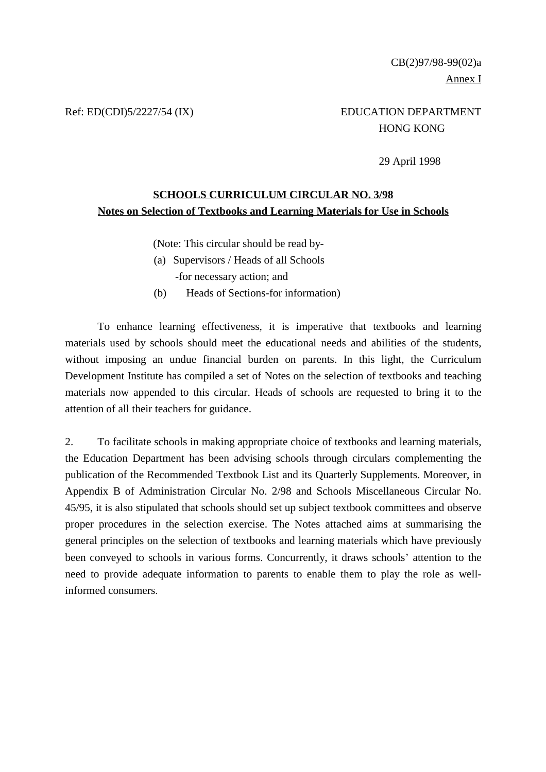# Ref: ED(CDI)5/2227/54 (IX) EDUCATION DEPARTMENT HONG KONG

29 April 1998

### **SCHOOLS CURRICULUM CIRCULAR NO. 3/98 Notes on Selection of Textbooks and Learning Materials for Use in Schools**

(Note: This circular should be read by-

- (a) Supervisors / Heads of all Schools -for necessary action; and
- (b) Heads of Sections-for information)

To enhance learning effectiveness, it is imperative that textbooks and learning materials used by schools should meet the educational needs and abilities of the students, without imposing an undue financial burden on parents. In this light, the Curriculum Development Institute has compiled a set of Notes on the selection of textbooks and teaching materials now appended to this circular. Heads of schools are requested to bring it to the attention of all their teachers for guidance.

2. To facilitate schools in making appropriate choice of textbooks and learning materials, the Education Department has been advising schools through circulars complementing the publication of the Recommended Textbook List and its Quarterly Supplements. Moreover, in Appendix B of Administration Circular No. 2/98 and Schools Miscellaneous Circular No. 45/95, it is also stipulated that schools should set up subject textbook committees and observe proper procedures in the selection exercise. The Notes attached aims at summarising the general principles on the selection of textbooks and learning materials which have previously been conveyed to schools in various forms. Concurrently, it draws schools' attention to the need to provide adequate information to parents to enable them to play the role as wellinformed consumers.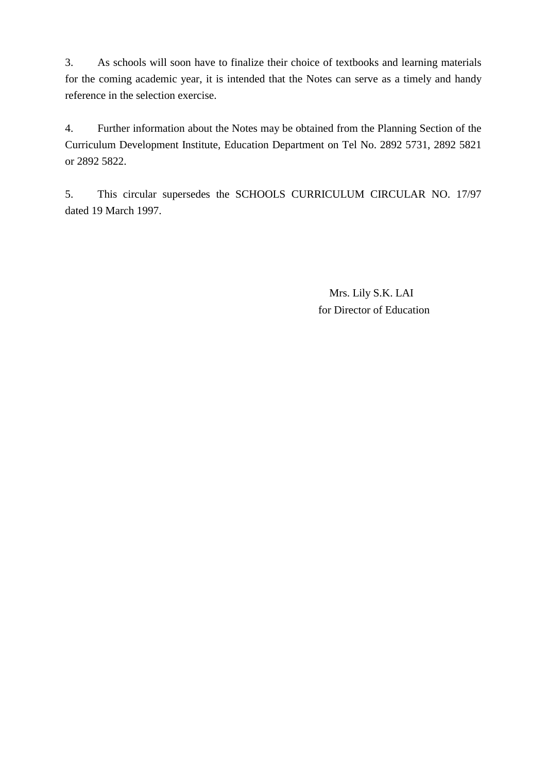3. As schools will soon have to finalize their choice of textbooks and learning materials for the coming academic year, it is intended that the Notes can serve as a timely and handy reference in the selection exercise.

4. Further information about the Notes may be obtained from the Planning Section of the Curriculum Development Institute, Education Department on Tel No. 2892 5731, 2892 5821 or 2892 5822.

5. This circular supersedes the SCHOOLS CURRICULUM CIRCULAR NO. 17/97 dated 19 March 1997.

> Mrs. Lily S.K. LAI for Director of Education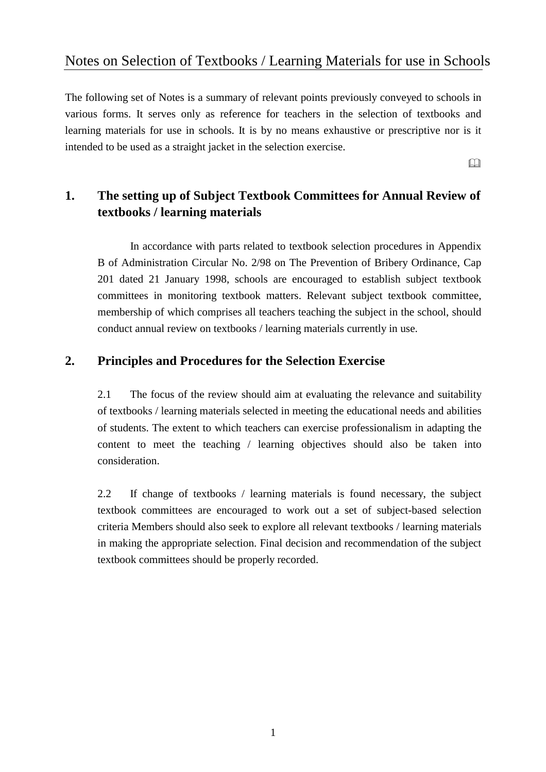# Notes on Selection of Textbooks / Learning Materials for use in Schools

The following set of Notes is a summary of relevant points previously conveyed to schools in various forms. It serves only as reference for teachers in the selection of textbooks and learning materials for use in schools. It is by no means exhaustive or prescriptive nor is it intended to be used as a straight jacket in the selection exercise.

 $\Box$ 

# **1. The setting up of Subject Textbook Committees for Annual Review of textbooks / learning materials**

In accordance with parts related to textbook selection procedures in Appendix B of Administration Circular No. 2/98 on The Prevention of Bribery Ordinance, Cap 201 dated 21 January 1998, schools are encouraged to establish subject textbook committees in monitoring textbook matters. Relevant subject textbook committee, membership of which comprises all teachers teaching the subject in the school, should conduct annual review on textbooks / learning materials currently in use.

## **2. Principles and Procedures for the Selection Exercise**

2.1 The focus of the review should aim at evaluating the relevance and suitability of textbooks / learning materials selected in meeting the educational needs and abilities of students. The extent to which teachers can exercise professionalism in adapting the content to meet the teaching / learning objectives should also be taken into consideration.

2.2 If change of textbooks / learning materials is found necessary, the subject textbook committees are encouraged to work out a set of subject-based selection criteria Members should also seek to explore all relevant textbooks / learning materials in making the appropriate selection. Final decision and recommendation of the subject textbook committees should be properly recorded.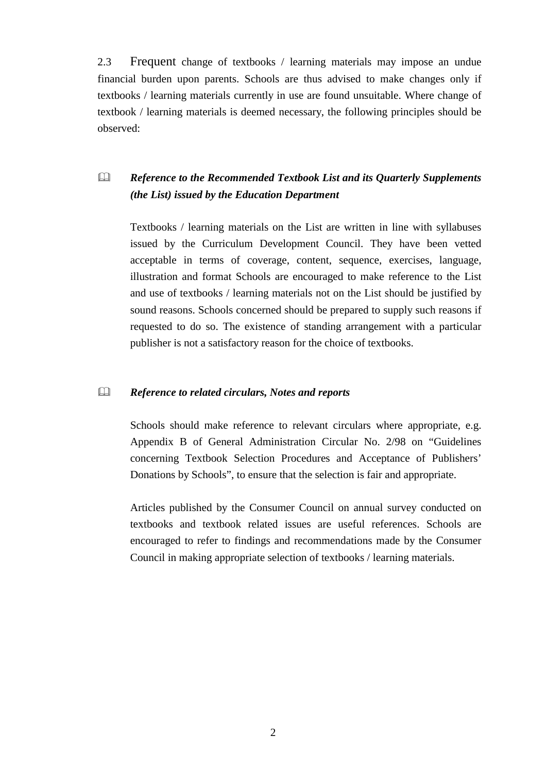2.3 Frequent change of textbooks / learning materials may impose an undue financial burden upon parents. Schools are thus advised to make changes only if textbooks / learning materials currently in use are found unsuitable. Where change of textbook / learning materials is deemed necessary, the following principles should be observed:

# ! *Reference to the Recommended Textbook List and its Quarterly Supplements (the List) issued by the Education Department*

Textbooks / learning materials on the List are written in line with syllabuses issued by the Curriculum Development Council. They have been vetted acceptable in terms of coverage, content, sequence, exercises, language, illustration and format Schools are encouraged to make reference to the List and use of textbooks / learning materials not on the List should be justified by sound reasons. Schools concerned should be prepared to supply such reasons if requested to do so. The existence of standing arrangement with a particular publisher is not a satisfactory reason for the choice of textbooks.

#### ! *Reference to related circulars, Notes and reports*

Schools should make reference to relevant circulars where appropriate, e.g. Appendix B of General Administration Circular No. 2/98 on "Guidelines concerning Textbook Selection Procedures and Acceptance of Publishers' Donations by Schools", to ensure that the selection is fair and appropriate.

Articles published by the Consumer Council on annual survey conducted on textbooks and textbook related issues are useful references. Schools are encouraged to refer to findings and recommendations made by the Consumer Council in making appropriate selection of textbooks / learning materials.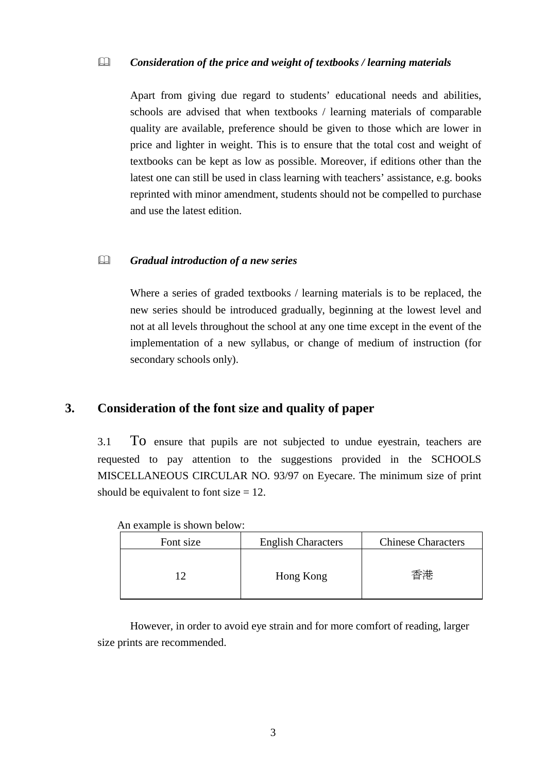### ! *Consideration of the price and weight of textbooks / learning materials*

Apart from giving due regard to students' educational needs and abilities, schools are advised that when textbooks / learning materials of comparable quality are available, preference should be given to those which are lower in price and lighter in weight. This is to ensure that the total cost and weight of textbooks can be kept as low as possible. Moreover, if editions other than the latest one can still be used in class learning with teachers' assistance, e.g. books reprinted with minor amendment, students should not be compelled to purchase and use the latest edition.

#### ! *Gradual introduction of a new series*

Where a series of graded textbooks / learning materials is to be replaced, the new series should be introduced gradually, beginning at the lowest level and not at all levels throughout the school at any one time except in the event of the implementation of a new syllabus, or change of medium of instruction (for secondary schools only).

## **3. Consideration of the font size and quality of paper**

3.1 To ensure that pupils are not subjected to undue eyestrain, teachers are requested to pay attention to the suggestions provided in the SCHOOLS MISCELLANEOUS CIRCULAR NO. 93/97 on Eyecare. The minimum size of print should be equivalent to font size  $= 12$ .

| Font size | <b>English Characters</b> | <b>Chinese Characters</b> |
|-----------|---------------------------|---------------------------|
|           | Hong Kong                 | 香港                        |

An example is shown below:

However, in order to avoid eye strain and for more comfort of reading, larger size prints are recommended.